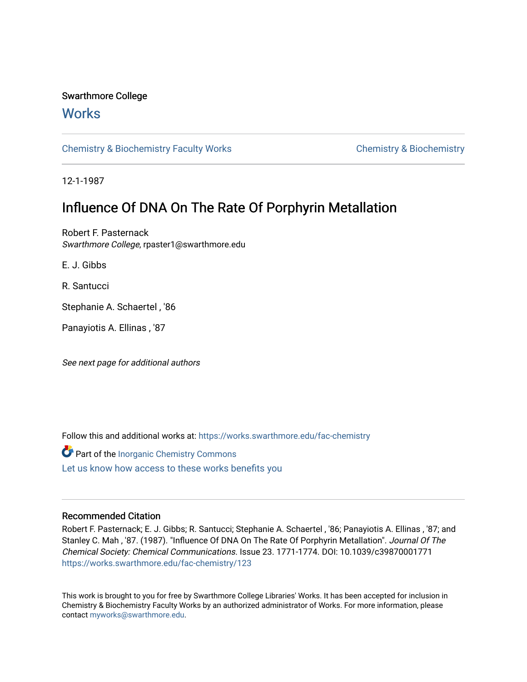## Swarthmore College

# **Works**

[Chemistry & Biochemistry Faculty Works](https://works.swarthmore.edu/fac-chemistry) Chemistry Chemistry & Biochemistry

12-1-1987

# Influence Of DNA On The Rate Of Porphyrin Metallation

Robert F. Pasternack Swarthmore College, rpaster1@swarthmore.edu

E. J. Gibbs

R. Santucci

Stephanie A. Schaertel , '86

Panayiotis A. Ellinas , '87

See next page for additional authors

Follow this and additional works at: [https://works.swarthmore.edu/fac-chemistry](https://works.swarthmore.edu/fac-chemistry?utm_source=works.swarthmore.edu%2Ffac-chemistry%2F123&utm_medium=PDF&utm_campaign=PDFCoverPages)

Part of the [Inorganic Chemistry Commons](http://network.bepress.com/hgg/discipline/137?utm_source=works.swarthmore.edu%2Ffac-chemistry%2F123&utm_medium=PDF&utm_campaign=PDFCoverPages)  [Let us know how access to these works benefits you](https://forms.gle/4MB8mE2GywC5965J8) 

## Recommended Citation

Robert F. Pasternack; E. J. Gibbs; R. Santucci; Stephanie A. Schaertel , '86; Panayiotis A. Ellinas , '87; and Stanley C. Mah , '87. (1987). "Influence Of DNA On The Rate Of Porphyrin Metallation". Journal Of The Chemical Society: Chemical Communications. Issue 23. 1771-1774. DOI: 10.1039/c39870001771 <https://works.swarthmore.edu/fac-chemistry/123>

This work is brought to you for free by Swarthmore College Libraries' Works. It has been accepted for inclusion in Chemistry & Biochemistry Faculty Works by an authorized administrator of Works. For more information, please contact [myworks@swarthmore.edu](mailto:myworks@swarthmore.edu).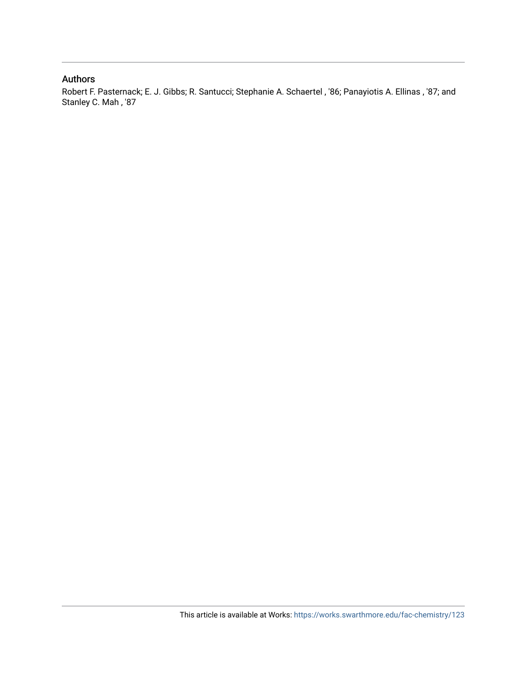## Authors

Robert F. Pasternack; E. J. Gibbs; R. Santucci; Stephanie A. Schaertel , '86; Panayiotis A. Ellinas , '87; and Stanley C. Mah , '87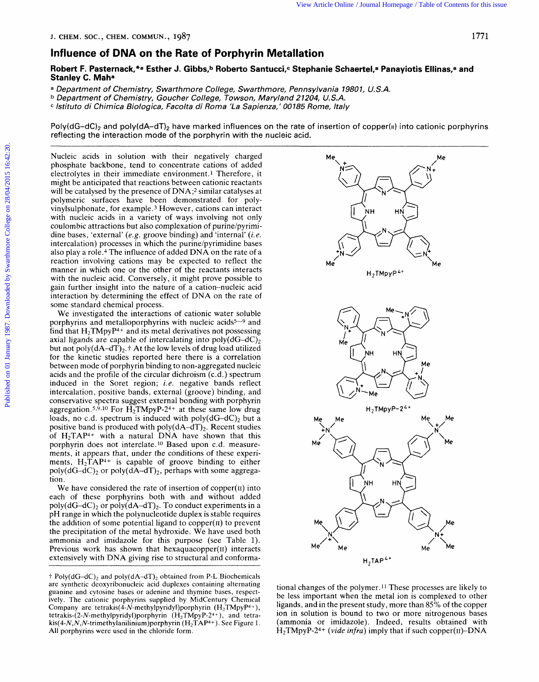#### **Influence of DNA on the Rate of Porphyrin Metallation**

Robert F. Pasternack,\*<sup>a</sup> Esther J. Gibbs,<sup>b</sup> Roberto Santucci,<sup>c</sup> Stephanie Schaertel,<sup>a</sup> Panayiotis Ellinas,<sup>a</sup> and **Stanley C. Maha** 

**<sup>a</sup>***Department of Chemistry, Swarthmore College, Swarthmore, Pennsylvania 19801, U.S.A.* 

**<sup>b</sup>***Department of Chemistry, Goucher College, Towson, Maryland 21204, U.S.A.* 

**<sup>c</sup>***lstituto di Chimica Biologica, Facolta di Roma 'La Sapienza,' 00185 Rome, Italy* 

Poly(dG-dC)<sub>2</sub> and poly(dA-dT)<sub>2</sub> have marked influences on the rate of insertion of copper(ii) into cationic porphyrins reflecting the interaction mode of the porphyrin with the nucleic acid.

Nucleic acids in solution with their negatively charged phosphate backbone, tend to concentrate cations of added electrolytes in their immediate environment. **1** Therefore, it might be anticipated that reactions between cationic reactants will be catalysed by the presence of DNA;<sup>2</sup> similar catalyses at polymeric surfaces have been demonstrated for polyvinylsulphonate, for example **.3** However, cations can interact with nucleic acids in a variety of ways involving not only coulombic attractions but also complexation of purine/pyrimidine bases, 'external' *(e.g.* groove binding) and 'internal' *(i.e.*  intercalation) processes in which the purine/pyrimidine bases also play a role.4 The influence of added DNA on the rate of a reaction involving cations may be expected to reflect the manner in which one or the other of the reactants interacts with the nucleic acid. Conversely, it might prove possible to gain further insight into the nature of a cation-nucleic acid interaction by determining the effect of DNA on the rate of some standard chemical process.

We investigated the interactions of cationic water soluble porphyrins and metalloporphyrins with nucleic acids<sup>5-9</sup> and find that  $H_2TMpyP^{4+}$  and its metal derivatives not possessing axial ligands are capable of intercalating into  $poly(dG-dC)_{2}$ but not poly(dA-dT)<sub>2</sub>.<sup>†</sup> At the low levels of drug load utilized for the kinetic studies reported here there is a correlation between mode of porphyrin binding to non-aggregated nucleic acids and the profile of the circular dichroism (c.d.) spectrum induced in the Soret region; *i.e.* negative bands reflect intercalation, positive bands, external (groove) binding, and conservative spectra suggest external bonding with porphyrin aggregation.<sup>5,9,10</sup> For  $\widetilde{H_2}T MpyP-2^{4+}$  at these same low drug loads, no c.d. spectrum is induced with poly $(dG-dC)$ <sub>2</sub> but a positive band is produced with  $poly(dA-dT)_{2}$ . Recent studies of  $H_2TAP^{4+}$  with a natural DNA have shown that this porphyrin does not interclate.1" Based upon c.d. measurements, it appears that, under the conditions of these experiments,  $H_2TAP^{4+}$  is capable of groove binding to either poly( $dG-dC$ )<sub>2</sub> or poly( $dA-dT$ )<sub>2</sub>, perhaps with some aggregation.

We have considered the rate of insertion of copper $(u)$  into each of these porphyrins both with and without added poly(dG-dC)<sub>2</sub> or poly(dA-dT)<sub>2</sub>. To conduct experiments in a pH range in which the polynucleotide duplex is stable requires the addition of some potential ligand to copper $(n)$  to prevent the precipitation of the metal hydroxide. We have used both ammonia and imidazole for this purpose (see Table 1). Previous work has shown that hexaquacopper(II) interacts extensively with DNA giving rise to structural and conforma-

 $\uparrow$  Poly(dG-dC)<sub>2</sub> and poly(dA-dT)<sub>2</sub> obtained from P-L Biochemicals are synthetic deoxyribonucleic acid duplexes containing alternating guanine and cytosine bases or adenine and thymine bases, respectively. The cationic porphyrins supplied by Midcentury Chemical Company are **tetrakis(4-N-methylpyridy1)porphyrin** (H2TMpyP4+), tetrakis-(2-N-methylpyridyl)porphyrin  $(H_2TMpyP-2^{4+})$ , and tetra**kis(4-N,N,N-trimethylanilinium)porphyrin** (H2TAP4+). See Figure 1. **All** porphyrins were used in the chloride form.



tional changes of the polymer.11 These processes are likely to be less important when the metal ion is complexed to other ligands, and in the present study, more than *85%* of the copper ion in solution is bound to two or more nitrogenous bases (ammonia or imidazole). Indeed, results obtained with H2TMpyP-24+ *(vide infra)* imply that if such copper(1r)-DNA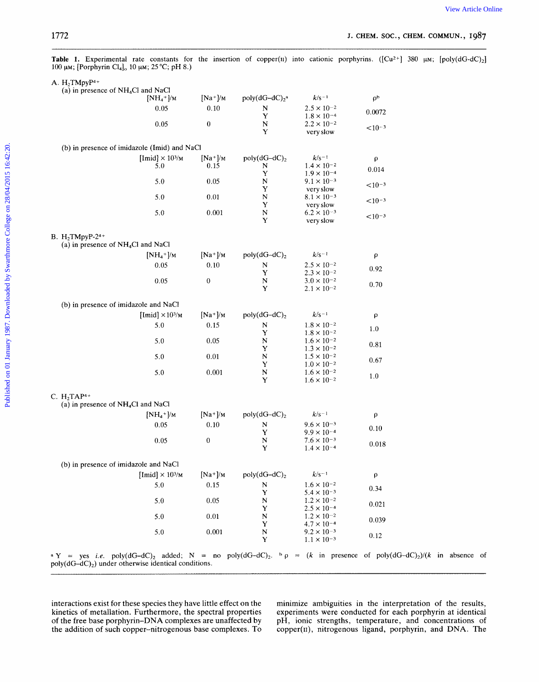| 1772                                                                                                                                                                                                                             |                                                |                  |                            |                                              | J. CHEM. SOC., CHEM. COMMUN., 1987 |  |
|----------------------------------------------------------------------------------------------------------------------------------------------------------------------------------------------------------------------------------|------------------------------------------------|------------------|----------------------------|----------------------------------------------|------------------------------------|--|
| Table 1. Experimental rate constants for the insertion of copper(II) into cationic porphyrins. ( $\text{[Cu2+]}$ 380 $\mu$ M; $\text{[poly(dG-dC)_2]}$<br>100 μm; [Porphyrin Cl <sub>4</sub> ] <sub>0</sub> 10 μm; 25 °C; pH 8.) |                                                |                  |                            |                                              |                                    |  |
| A. $H_2TMpyP^{4+}$                                                                                                                                                                                                               |                                                |                  |                            |                                              |                                    |  |
| (a) in presence of $NH4Cl$ and NaCl                                                                                                                                                                                              | $[NH_4^+]$ /M                                  | $[Na^+]$ /M      | $poly(dG-dC)2a$            | $k/s^{-1}$                                   | $\rho^b$                           |  |
|                                                                                                                                                                                                                                  | 0.05                                           | 0.10             | N                          | $2.5 \times 10^{-2}$                         |                                    |  |
|                                                                                                                                                                                                                                  |                                                |                  | Y                          | $1.8 \times 10^{-4}$                         | 0.0072                             |  |
|                                                                                                                                                                                                                                  | 0.05                                           | $\boldsymbol{0}$ | ${\bf N}$<br>Y             | $2.2 \times 10^{-2}$<br>very slow            | $< 10^{-3}$                        |  |
|                                                                                                                                                                                                                                  | (b) in presence of imidazole (Imid) and NaCl   |                  |                            |                                              |                                    |  |
|                                                                                                                                                                                                                                  | [Imid] $\times$ 10 <sup>3</sup> / <sub>M</sub> | $[Na^+]$ /M      | $poly(dG-dC)2$             | $k/s^{-1}$                                   |                                    |  |
|                                                                                                                                                                                                                                  | 5.0                                            | 0.15             | N                          | $1.4 \times 10^{-2}$                         | $\rho$                             |  |
|                                                                                                                                                                                                                                  |                                                |                  | Y                          | $1.9 \times 10^{-4}$                         | 0.014                              |  |
|                                                                                                                                                                                                                                  | 5.0                                            | 0.05             | $\mathbb N$<br>Y           | $9.1 \times 10^{-3}$<br>very slow            | $< 10^{-3}$                        |  |
|                                                                                                                                                                                                                                  | 5.0                                            | 0.01             | $\mathbf N$                | $8.1 \times 10^{-3}$                         |                                    |  |
|                                                                                                                                                                                                                                  |                                                |                  | Y                          | very slow                                    | $< 10^{-3}$                        |  |
|                                                                                                                                                                                                                                  | 5.0                                            | 0.001            | $\mathbf N$<br>Y           | $6.2 \times 10^{-3}$<br>very slow            | $< 10^{-3}$                        |  |
| <b>B.</b> H <sub>2</sub> TMpyP-2 <sup>4+</sup>                                                                                                                                                                                   |                                                |                  |                            |                                              |                                    |  |
| (a) in presence of $NH4Cl$ and NaCl                                                                                                                                                                                              |                                                |                  |                            |                                              |                                    |  |
|                                                                                                                                                                                                                                  | $[NH_4^+]$ /M                                  | $[Na^+]$ /M      | $poly(dG-dC)2$             | $k/s^{-1}$                                   | ρ                                  |  |
|                                                                                                                                                                                                                                  | 0.05                                           | $0.10\,$         | N                          | $2.5 \times 10^{-2}$                         | 0.92                               |  |
|                                                                                                                                                                                                                                  |                                                |                  | Y                          | $2.3 \times 10^{-2}$                         |                                    |  |
|                                                                                                                                                                                                                                  | 0.05                                           | $\boldsymbol{0}$ | $\mathbf N$<br>Y           | $3.0 \times 10^{-2}$<br>$2.1 \times 10^{-2}$ | 0.70                               |  |
| (b) in presence of imidazole and NaCl                                                                                                                                                                                            |                                                |                  |                            |                                              |                                    |  |
|                                                                                                                                                                                                                                  | [Imid] $\times 10^{3}/M$                       | $[Na^+]/M$       | poly $(dG-dC)_2$           | $k/s-1$                                      | ρ                                  |  |
|                                                                                                                                                                                                                                  | 5.0                                            | 0.15             | N                          | $1.8 \times 10^{-2}$                         | 1.0                                |  |
|                                                                                                                                                                                                                                  |                                                |                  | Y                          | $1.8 \times 10^{-2}$                         |                                    |  |
|                                                                                                                                                                                                                                  | 5.0                                            | 0.05             | N<br>Y                     | $1.6 \times 10^{-2}$<br>$1.3 \times 10^{-2}$ | 0.81                               |  |
|                                                                                                                                                                                                                                  | 5.0                                            | 0.01             | $\mathbf N$                | $1.5 \times 10^{-2}$                         |                                    |  |
|                                                                                                                                                                                                                                  |                                                |                  | Y                          | $1.0 \times 10^{-2}$                         | 0.67                               |  |
|                                                                                                                                                                                                                                  | 5.0                                            | 0.001            | $\mathbf N$<br>Y           | $1.6 \times 10^{-2}$<br>$1.6 \times 10^{-2}$ | $1.0\,$                            |  |
|                                                                                                                                                                                                                                  |                                                |                  |                            |                                              |                                    |  |
| C. $H_2TAP^{4+}$                                                                                                                                                                                                                 |                                                |                  |                            |                                              |                                    |  |
| (a) in presence of NH <sub>4</sub> Cl and NaCl                                                                                                                                                                                   |                                                |                  |                            |                                              |                                    |  |
|                                                                                                                                                                                                                                  | $[NH_4^+]$ /M                                  | $[Na^+]$ /M      | $poly(dG-dC)2$             | $k/s^{-1}$                                   | ρ                                  |  |
|                                                                                                                                                                                                                                  | $0.05\,$                                       | $0.10\,$         | ${\bf N}$<br>Y             | $9.6 \times 10^{-3}$<br>$9.9 \times 10^{-4}$ | $0.10\,$                           |  |
|                                                                                                                                                                                                                                  | $0.05\,$                                       | $\boldsymbol{0}$ | $\mathbf N$                | $7.6 \times 10^{-3}$                         |                                    |  |
|                                                                                                                                                                                                                                  |                                                |                  | Y                          | $1.4 \times 10^{-4}$                         | $0.018\,$                          |  |
| (b) in presence of imidazole and NaCl                                                                                                                                                                                            |                                                |                  |                            |                                              |                                    |  |
|                                                                                                                                                                                                                                  | [Imid] $\times$ 10 <sup>3</sup> /M             | $[Na^+]$ /M      | $poly(dG-dC)2$             | $k/s^{-1}$                                   | ρ                                  |  |
|                                                                                                                                                                                                                                  | 5.0                                            | 0.15             | N                          | $1.6 \times 10^{-2}$                         | 0.34                               |  |
|                                                                                                                                                                                                                                  | 5.0                                            | 0.05             | $\mathbf Y$<br>$\mathbf N$ | $5.4 \times 10^{-3}$<br>$1.2 \times 10^{-2}$ |                                    |  |
|                                                                                                                                                                                                                                  |                                                |                  | Y                          | $2.5 \times 10^{-4}$                         | 0.021                              |  |
|                                                                                                                                                                                                                                  | 5.0                                            | $0.01\,$         | $\mathbf N$                | $1.2 \times 10^{-2}$                         | 0.039                              |  |
|                                                                                                                                                                                                                                  | $5.0\,$                                        | 0.001            | Y<br>$\mathbf N$           | $4.7 \times 10^{-4}$<br>$9.2 \times 10^{-3}$ |                                    |  |
|                                                                                                                                                                                                                                  |                                                |                  | Y                          | $1.1 \times 10^{-3}$                         | $0.12\,$                           |  |

**a Y** = yes *i.e.*  $poly(dG-dC)_2$  added;  $N = no poly(dG-dC)_2$ . **b**  $p = (k \text{ in presence of poly(dG-dC)_2})/(k \text{ in absence of$  $poly(dG-dC)<sub>2</sub>$ ) under otherwise identical conditions.

interactions exist for these species they have little effect on the minimize ambiguities in the interpretation of the results, kinetics of metallation. Furthermore, the spectral properties experiments were conducted for ea kinetics of metallation. Furthermore, the spectral properties experiments were conducted for each porphyrin at identical of the free base porphyrin–DNA complexes are unaffected by pH, ionic strengths, temperature, and conc the addition of such copper-nitrogenous base complexes. To copper(Ir), nitrogenous ligand, porphyrin, and DNA. The

pH, ionic strengths, temperature, and concentrations of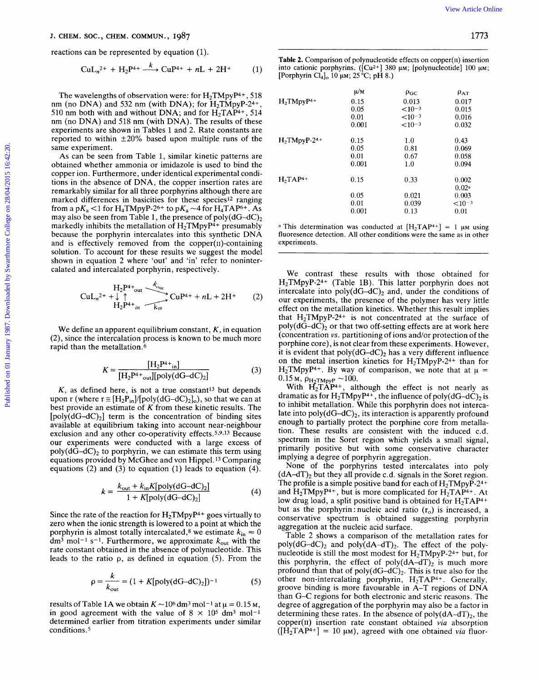$$
CuL_n^{2+} + H_2P^{4+} \xrightarrow{k} CuP^{4+} + nL + 2H^+ \tag{1}
$$

$$
U_{n^{2+}} + \downarrow^{\uparrow}_{12} P^{4+} + \downarrow^{\uparrow}_{13} C u P^{4+} + nL + 2H^{+}
$$
 (2)

$$
K = \frac{[H_2P^{4+}]}{[H_2P^{4+}]} \tag{3}
$$

 $K$ , as defined here, is not a true constant<sup>13</sup> but depends upon r (where  $r \equiv [H_2P_{in}]/[poly(dG-dC)_2]_0$ ), so that we can at best provide an estimate of *K* from these kinetic results. The  $[poly(dG-dC)<sub>2</sub>]$  term is the concentration of binding sites available at equilibrium taking into account near-neighbour exclusion and any other co-operativity effects.5.9.13 Because our experiments were conducted with a large excess of poly( $dG-dC$ )<sub>2</sub> to porphyrin, we can estimate this term using equations provided by McGhee and von Hippel.13 Comparing equations (2) and (3) to equation (1) leads to equation **(4).** 

$$
k = \frac{k_{\text{out}} + k_{\text{in}} K[\text{poly}(dG - dC)_2]}{1 + K[\text{poly}(dG - dC)_2]}
$$
(4)

Since the rate of the reaction for  $H_2TMpyP^{4+}$  goes virtually to zero when the ionic strength is lowered to a point at which the porphyrin is almost totally intercalated,<sup>8</sup> we estimate  $k_{\text{in}} \approx 0$  $dm^3$  mol<sup>-1</sup> s<sup>-1</sup>. Furthermore, we approximate  $k_{\text{out}}$  with the rate constant obtained in the absence of polynucleotide. This leads to the ratio **p,** as defined in equation (5). From the

$$
\rho = \frac{k}{k_{\text{out}}} = (1 + K[\text{poly}(dG - dC)_2])^{-1}
$$
 (5)

results of Table 1A we obtain  $K \sim 10^6$  dm<sup>3</sup> mol<sup>-1</sup> at  $\mu = 0.15$  M, in good agreement with the value of  $8 \times 10^5$  dm<sup>3</sup> mol<sup>-1</sup> determined earlier from titration experiments under similar conditions.5

| J. CHEM. SOC., CHEM. COMMUN., 1987                                                                                  |                                                                                           |                                                                                                                                                                                                                                                                  |                                                                 | 1773                 |  |
|---------------------------------------------------------------------------------------------------------------------|-------------------------------------------------------------------------------------------|------------------------------------------------------------------------------------------------------------------------------------------------------------------------------------------------------------------------------------------------------------------|-----------------------------------------------------------------|----------------------|--|
| reactions can be represented by equation (1).                                                                       |                                                                                           |                                                                                                                                                                                                                                                                  |                                                                 |                      |  |
| $CuLn2+ + H2P4+ \xrightarrow{k} CuP4+ + nL + 2H+$                                                                   | (1)                                                                                       | Table 2. Comparison of polynucleotide effects on $copper(II)$ insertion<br>into cationic porphyrins. ( $\left[Cu^{2+}\right]$ 380 $\mu$ M; $\left[$ polynucleotide $\right]$ 100 $\mu$ M;<br>[Porphyrin Cl <sub>4</sub> ] <sub>o</sub> 10 $\mu$ M; 25 °C; pH 8.) |                                                                 |                      |  |
| The wavelengths of observation were: for $H_2TMpyP^{4+}$ , 518                                                      |                                                                                           | μ/Μ                                                                                                                                                                                                                                                              | $\rho_{\rm GC}$                                                 | $\rho_{AT}$          |  |
| nm (no DNA) and 532 nm (with DNA); for $H_2TMpyP-2^{4+}$ ,                                                          | $H_2TMpyP^{4+}$                                                                           | 0.15                                                                                                                                                                                                                                                             | 0.013                                                           | 0.017                |  |
|                                                                                                                     |                                                                                           | 0.05                                                                                                                                                                                                                                                             | $< 10^{-3}$                                                     | 0.015                |  |
| 510 nm both with and without DNA; and for $H_2TAP^{4+}$ , 514                                                       |                                                                                           | 0.01                                                                                                                                                                                                                                                             | $<$ 10 <sup>-3</sup>                                            | 0.016                |  |
| nm (no DNA) and 518 nm (with DNA). The results of these                                                             |                                                                                           | 0.001                                                                                                                                                                                                                                                            | $< 10^{-3}$                                                     | 0.032                |  |
| experiments are shown in Tables 1 and 2. Rate constants are                                                         |                                                                                           |                                                                                                                                                                                                                                                                  |                                                                 |                      |  |
| reported to within $\pm 20\%$ based upon multiple runs of the                                                       | $H_2$ TMpyP-2 <sup>4+</sup>                                                               | 0.15                                                                                                                                                                                                                                                             | 1.0                                                             | 0.43                 |  |
| same experiment.                                                                                                    |                                                                                           | 0.05                                                                                                                                                                                                                                                             | 0.81                                                            | 0.069                |  |
| As can be seen from Table 1, similar kinetic patterns are                                                           |                                                                                           | 0.01                                                                                                                                                                                                                                                             | 0.67                                                            | 0.058                |  |
| obtained whether ammonia or imidazole is used to bind the                                                           |                                                                                           | 0.001                                                                                                                                                                                                                                                            | 1.0                                                             | 0.094                |  |
| copper ion. Furthermore, under identical experimental condi-                                                        |                                                                                           |                                                                                                                                                                                                                                                                  |                                                                 |                      |  |
|                                                                                                                     | $H_2TAP^{4+}$                                                                             | 0.15                                                                                                                                                                                                                                                             | 0.33                                                            | 0.002                |  |
| tions in the absence of DNA, the copper insertion rates are                                                         |                                                                                           |                                                                                                                                                                                                                                                                  |                                                                 | 0.02 <sup>a</sup>    |  |
| remarkably similar for all three porphyrins although there are                                                      |                                                                                           | 0.05                                                                                                                                                                                                                                                             | 0.021                                                           | 0.003                |  |
| marked differences in basicities for these species <sup>12</sup> ranging                                            |                                                                                           | 0.01                                                                                                                                                                                                                                                             | 0.039                                                           | $<$ 10 <sup>-3</sup> |  |
| from a p $K_a$ < 1 for H <sub>4</sub> TMpyP-2 <sup>6+</sup> to p $K_a$ ~4 for H <sub>4</sub> TAP <sup>6+</sup> . As |                                                                                           | 0.001                                                                                                                                                                                                                                                            | 0.13                                                            | 0.01                 |  |
| may also be seen from Table 1, the presence of poly $(dG-dC)_2$                                                     |                                                                                           |                                                                                                                                                                                                                                                                  |                                                                 |                      |  |
| markedly inhibits the metallation of $H_2TMpyP^{4+}$ presumably                                                     | <sup>a</sup> This determination was conducted at $[H_2TAP^{4+}] = 1$ µm using             |                                                                                                                                                                                                                                                                  |                                                                 |                      |  |
| because the porphyrin intercalates into this synthetic DNA                                                          | fluoresence detection. All other conditions were the same as in other                     |                                                                                                                                                                                                                                                                  |                                                                 |                      |  |
| and is effectively removed from the copper $(n)$ -containing                                                        | experiments.                                                                              |                                                                                                                                                                                                                                                                  |                                                                 |                      |  |
| solution. To account for these results we suggest the model                                                         |                                                                                           |                                                                                                                                                                                                                                                                  |                                                                 |                      |  |
|                                                                                                                     |                                                                                           |                                                                                                                                                                                                                                                                  |                                                                 |                      |  |
| shown in equation 2 where 'out' and 'in' refer to noninter-                                                         |                                                                                           |                                                                                                                                                                                                                                                                  |                                                                 |                      |  |
| calated and intercalated porphyrin, respectively.                                                                   |                                                                                           |                                                                                                                                                                                                                                                                  | We contrast these results with those obtained for               |                      |  |
|                                                                                                                     | $H_2$ TMpyP-2 <sup>4+</sup> (Table 1B). This latter porphyrin does not                    |                                                                                                                                                                                                                                                                  |                                                                 |                      |  |
|                                                                                                                     | intercalate into $poly(dG-dC)_2$ and, under the conditions of                             |                                                                                                                                                                                                                                                                  |                                                                 |                      |  |
|                                                                                                                     | (2)<br>our experiments, the presence of the polymer has very little                       |                                                                                                                                                                                                                                                                  |                                                                 |                      |  |
|                                                                                                                     |                                                                                           |                                                                                                                                                                                                                                                                  |                                                                 |                      |  |
|                                                                                                                     | effect on the metallation kinetics. Whether this result implies                           |                                                                                                                                                                                                                                                                  |                                                                 |                      |  |
|                                                                                                                     | that $H_2TMpyP-24+$ is not concentrated at the surface of                                 |                                                                                                                                                                                                                                                                  |                                                                 |                      |  |
| We define an apparent equilibrium constant, $K$ , in equation                                                       | $poly(dG-dC)2$ or that two off-setting effects are at work here                           |                                                                                                                                                                                                                                                                  |                                                                 |                      |  |
| (2), since the intercalation process is known to be much more                                                       | (concentration vs. partitioning of ions and/or protection of the                          |                                                                                                                                                                                                                                                                  |                                                                 |                      |  |
| rapid than the metallation. <sup>6</sup>                                                                            | porphine core), is not clear from these experiments. However,                             |                                                                                                                                                                                                                                                                  |                                                                 |                      |  |
|                                                                                                                     | it is evident that $poly(dG-dC)2$ has a very different influence                          |                                                                                                                                                                                                                                                                  |                                                                 |                      |  |
|                                                                                                                     | on the metal insertion kinetics for $H_2TMpyP-2^{4+}$ than for                            |                                                                                                                                                                                                                                                                  |                                                                 |                      |  |
|                                                                                                                     | (3)<br>H <sub>2</sub> TMpyP <sup>4+</sup> . By way of comparison, we note that at $\mu$ = |                                                                                                                                                                                                                                                                  |                                                                 |                      |  |
| $K = \frac{\text{[H2P4+in]}}{\text{[H2P4+out][poly(dG-dC)2]}}$                                                      |                                                                                           |                                                                                                                                                                                                                                                                  |                                                                 |                      |  |
|                                                                                                                     | $0.15$ M, $\rho_{H_2TMpyP} \sim 100$ .                                                    |                                                                                                                                                                                                                                                                  |                                                                 |                      |  |
| $K$ , as defined here, is not a true constant <sup>13</sup> but depends                                             |                                                                                           |                                                                                                                                                                                                                                                                  | With $H_2T\dot{A}P^{4+}$ , although the effect is not nearly as |                      |  |
| upon r (where $r \equiv [H_2P_{in}]/[poly(dG-dC)_2]_0$ ), so that we can at                                         | dramatic as for $H_2TMpyP^{4+}$ , the influence of poly $(dG-dC)_2$ is                    |                                                                                                                                                                                                                                                                  |                                                                 |                      |  |
|                                                                                                                     | to inhibit metallation. While this porphyrin does not interca-                            |                                                                                                                                                                                                                                                                  |                                                                 |                      |  |

With  $H_2T\dot{A}P^{4+}$ , although the effect is not nearly as dramatic as for  $H_2TMpyP^{4+}$ , the influence of poly(dG-dC)<sub>2</sub> is to inhibit metallation. While this porphyrin does not intercalate into  $poly(dG-dC)_2$ , its interaction is apparently profound enough to partially protect the porphine core from metallation. These results are consistent with the induced c.d. spectrum in the Soret region which yields a small signal, primarily positive but with some conservative character implying a degree of porphyrin aggregation.

None of the porphyrins tested intercalates into poly  $(dA-dT)_2$  but they all provide c.d. signals in the Soret region. The profile is a simple positive band for each of  $H_2TMpyP-24+$ and  $H_2TMpyP^{4+}$ , but is more complicated for  $H_2TAP^{4+}$ . At low drug load, a split positive band is obtained for  $H_2TAP^{4+}$ but as the porphyrin : nucleic acid ratio  $(r_0)$  is increased, a conservative spectrum is obtained suggesting porphyrin aggregation at the nucleic acid surface.

Table 2 shows a comparison of the metallation rates for poly(dG-dC)<sub>2</sub> and poly(dA-dT)<sub>2</sub>. The effect of the polynucleotide is still the most modest for  $H_2TMpyP-2^{4+}$  but, for this porphyrin, the effect of poly $(dA-dT)_2$  is much more profound than that of poly(dG-dC)<sub>2</sub>. This is true also for the other non-intercalating porphyrin,  $H_2TAP^{4+}$ . Generally, groove binding is more favourable in A-T regions of DNA than G-C regions for both electronic and steric reasons. The degree of aggregation of the porphyrin may also be a factor in determining these rates. In the absence of  $poly(dA-dT)<sub>2</sub>$ , the copper(I1) insertion rate constant obtained *via* absorption  $([\hat{H}_2 T \hat{A} \hat{P}^{4+}] = 10 \mu M$ , agreed with one obtained *via* fluor-